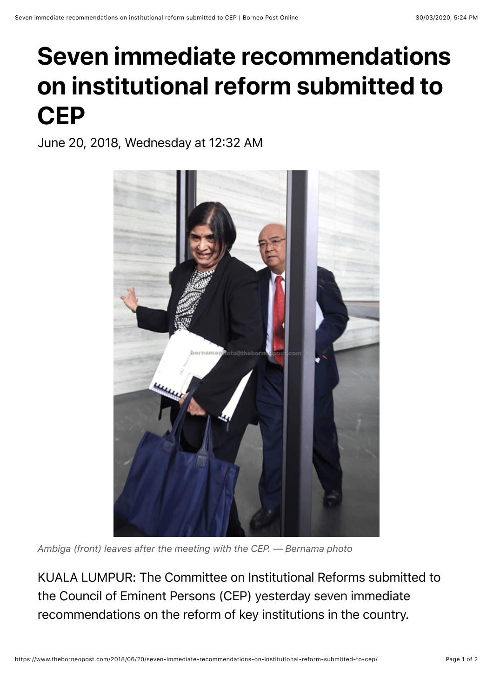## **Seven immediate recommendations on institutional reform submitted to CEP**

June 20, 2018, Wednesday at 12:32 AM



*Ambiga (front) leaves after the meeting with the CEP. — Bernama photo*

KUALA LUMPUR: The Committee on Institutional Reforms submitted to the Council of Eminent Persons (CEP) yesterday seven immediate recommendations on the reform of key institutions in the country.